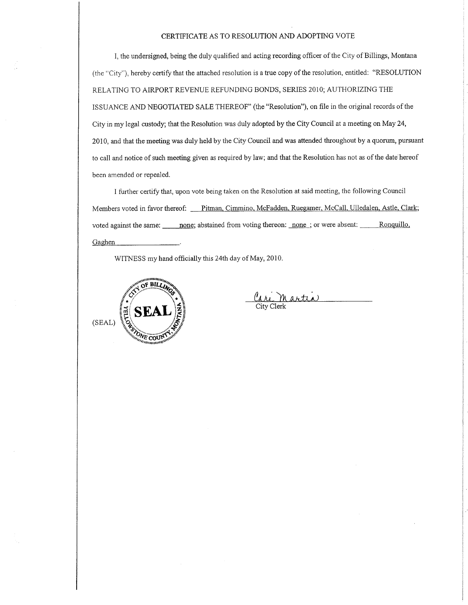## CERTIFICATE AS TO RESOLUTION AND ADOPTING VOTE

I, the undersigned, being the duly qualified and acting recording officer of the City of Billings, Montana (the "City"), hereby certify that the attached resolution is a true copy of the resolution, entitled: "RESOLUTION RELATING TO AIRPORT REVENUE REFUNDING BONDS, SERIES 2O1O; AUTHORIZING THE ISSUANCE AND NEGOTIATED SALE THEREOF" (the "Resolution"), on file in the original records of the City in my legal custody; that the Resolution was duly adopted by the City Council at a meeting on May 24, 2010, and that the meeting was duly held by the City Council and was attended throughout by a quorum, pursuant to call and notice of such meeting given as required by law; and that the Resolution has not as of the date hereof been amended or repealed.

I further certify that, upon vote being taken on the Resolution at said meeting, the following Council Members voted in favor thereof: Pitman, Cimmino, McFadden, Ruegamer, McCall, Ulledalen, Astle, Clark; voted against the same: none; abstained from voting thereon: none ; or were absent: Ronquillo, Gaøhen

WITNESS my hand officially this 24th day of May, 2010.



Cari martin

City Clerk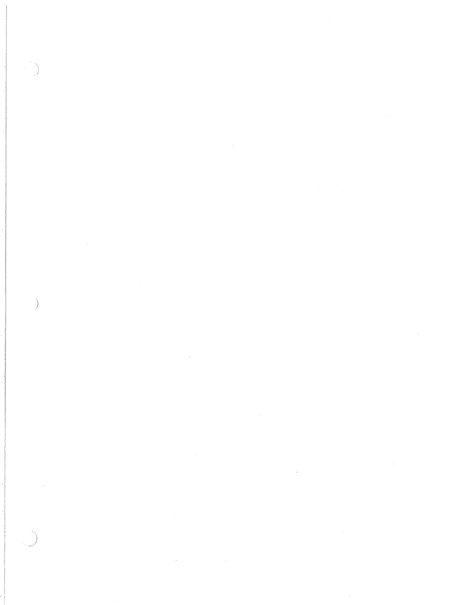$\label{eq:2.1} \frac{1}{\|x\|^{2}}\leq \frac{1}{\|x\|^{2}}\leq \frac{1}{\|x\|^{2}}\leq \frac{1}{\|x\|^{2}}\leq \frac{1}{\|x\|^{2}}\leq \frac{1}{\|x\|^{2}}\leq \frac{1}{\|x\|^{2}}\leq \frac{1}{\|x\|^{2}}\leq \frac{1}{\|x\|^{2}}\leq \frac{1}{\|x\|^{2}}\leq \frac{1}{\|x\|^{2}}\leq \frac{1}{\|x\|^{2}}\leq \frac{1}{\|x\|^{2}}\leq \frac{$ 

 $\label{eq:2.1} \frac{1}{\sqrt{2}}\int_{0}^{\infty}\frac{1}{\sqrt{2\pi}}\left(\frac{1}{\sqrt{2\pi}}\right)^{2\alpha} \frac{1}{\sqrt{2\pi}}\int_{0}^{\infty}\frac{1}{\sqrt{2\pi}}\left(\frac{1}{\sqrt{2\pi}}\right)^{\alpha} \frac{1}{\sqrt{2\pi}}\frac{1}{\sqrt{2\pi}}\int_{0}^{\infty}\frac{1}{\sqrt{2\pi}}\frac{1}{\sqrt{2\pi}}\frac{1}{\sqrt{2\pi}}\frac{1}{\sqrt{2\pi}}\frac{1}{\sqrt{2\pi}}\frac{1}{\sqrt{2\pi}}$ 

 $\label{eq:2.1} \mathcal{L}(\mathcal{L}^{\mathcal{L}}_{\mathcal{L}}(\mathcal{L}^{\mathcal{L}}_{\mathcal{L}})) \leq \mathcal{L}(\mathcal{L}^{\mathcal{L}}_{\mathcal{L}}(\mathcal{L}^{\mathcal{L}}_{\mathcal{L}})) \leq \mathcal{L}(\mathcal{L}^{\mathcal{L}}_{\mathcal{L}}(\mathcal{L}^{\mathcal{L}}_{\mathcal{L}}))$ 

 $\sum_{i=1}^{n}$ 

 $\label{eq:2.1} \frac{1}{\sqrt{2}}\int_{\mathbb{R}^3}\frac{1}{\sqrt{2}}\left(\frac{1}{\sqrt{2}}\right)^2\frac{1}{\sqrt{2}}\left(\frac{1}{\sqrt{2}}\right)^2\frac{1}{\sqrt{2}}\left(\frac{1}{\sqrt{2}}\right)^2\frac{1}{\sqrt{2}}\left(\frac{1}{\sqrt{2}}\right)^2.$ 

 $\label{eq:2.1} \mathcal{L}(\mathcal{L}^{\mathcal{L}}_{\mathcal{L}}(\mathcal{L}^{\mathcal{L}}_{\mathcal{L}})) = \mathcal{L}(\mathcal{L}^{\mathcal{L}}_{\mathcal{L}}(\mathcal{L}^{\mathcal{L}}_{\mathcal{L}})) = \mathcal{L}(\mathcal{L}^{\mathcal{L}}_{\mathcal{L}}(\mathcal{L}^{\mathcal{L}}_{\mathcal{L}})) = \mathcal{L}(\mathcal{L}^{\mathcal{L}}_{\mathcal{L}}(\mathcal{L}^{\mathcal{L}}_{\mathcal{L}})) = \mathcal{L}(\mathcal{L}^{\mathcal{L}}$ 

 $\frac{1}{2} \left( \frac{1}{2} \right)$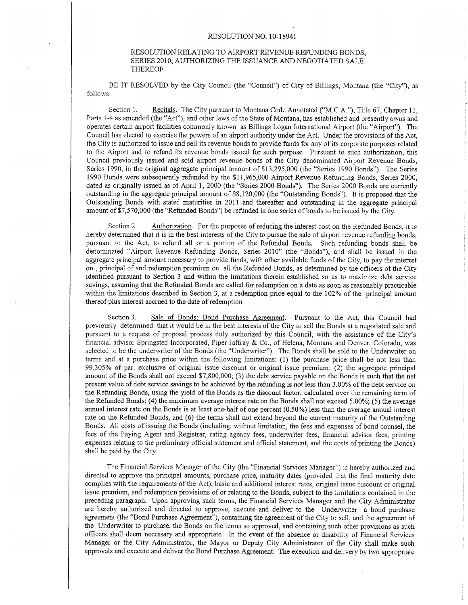## RESOLUTION NO. 10-18941

## RESOLUTION RELATING TO AIRPORT REVENUE REFUNDING BONDS, SERIES 2O1O; AUTHORIZING THE ISSUANCE AND NEGOTIATED SALE THEREOF

BE IT RESOLVED by the City Council (the "Council") of City of Billings, Montana (the "City'), as follows:

Section 1. Recitals. The City pursuant to Montana Code Annotated ("M.C.A."), Title 67, Chapter 11, Parts 1-4 as amended (the "Act"), and other laws of the State of Montana, has established and presently owns and operates certain airport facilities commonly known as Billings Logan International Airport (the "Airport"). The Council has elected to exercise the powers of an airport authority under the Act. Under the provisions of the Act, the City is authorized to issue and sell its revenue bonds to provide funds for any of its corporate purposes related to the Airport and to refund its revenue bonds issued for such purpose. Pursuant to such authorization, this Council previously issued and sold airport revenue bonds of the City denominated Airport Revenue Bonds, Series 1990, in the original aggregate principal amount of \$13,295,000 (the "Series 1990 Bonds"). The Series 1990 Bonds were subsequently refunded by the \$11,965,000 Airport Revenue Refunding Bonds, Series 2000, dated as originally issued as of April 1, 2000 (the "Series 2000 Bonds"). The Series 2000 Bonds are currently outstanding in the aggregate principal arnount of \$8,120,000 (the "Outstanding Bonds"). It is proposed that the Outstanding Bonds with stated maturities in 2011 and thereafter and outstanding in the aggregate principal amount of \$7,570,000 (the "Refunded Bonds") be refunded in one series of bonds to be issued by the City.

Section 2. Authorization. For the purposes of reducing the interest cost on the Refunded Bonds, it is hereby determined that it is in the best interests of the City to pursue the sale of airport revenue refunding bonds, pursuant to the Act, to refund all or a portion of the Refunded Bonds. Such refunding bonds shall be denominated "Airport Revenue Refunding Bonds, Series 2010" (the "Bonds"), and shall be issued in the aggregate principal amount necessary to provide funds, with other available funds of the City, to pay the interest on , principal of and redemption premium on all the Refunded Bonds, as determined by the officers of the City identified pursuant to Section 3 and within the limitations therein established so as to maximize debt service savings, assuming that the Refunded Bonds are called for redemption on a date as soon as reasonably practicable within the limitations described in Section 3, at a redemption price equal to the  $102\%$  of the principal amount thereof plus interest accrued to the date of redemption

Section 3. Sale of Bonds; Bond Purchase Agreement. Pursuant to the Act, this Council had previously determined that it would be in the best interests of the City to sell the Bonds at a negotiated sale and pursuant to a request of proposal process duly authorized by this Council, with the assistance of the City's financial advisor Springsted Incorporated, Piper Jaffray & Co., of Helena, Montana and Denver, Colorado, was selected to be the underwriter of the Bonds (the "Underwriter"). The Bonds shall be sold to the Underwriter on terms and at a purchase price within the following limitations: (1) the purchase price shall be not less than 99.305% of par, exclusive of original issue discount or original issue premium; (2) the aggrregate principal amount of the Bonds shall not exceed \$7,800,000; (3) the debt service payable on the Bonds is such that the net present value of debt service savings to be achieved by the refunding is not less than 3.00% of the debt service on the Refunding Bonds, using the yield of the Bonds as the discount factor, caiculated over the remaining term of the Refunded Bonds; (4) the maximum average interest rate on the Bonds shall not exceed 5.00%; (5) the average annual interest rate on the Bonds is at least one-half of one percent  $(0.50\%)$  less than the average annual interest rate on the Refunded Bonds, and (6) the terms shall not extend beyond the current maturity of the Outstanding Bonds. All costs of issuing the Bonds (including, without limitation, the fees and expenses of bond counsel, the fees of the Paying Agent and Registrar, rating agency fees, underwriter fees, financial advisor fees, printing expenses relating to the preliminary official statement and official statement, and the costs of printing the Bonds) shall be paid by the City.

The Financial Services Manager of the City (the "Financial Services Manager") is hereby authorized and directed to approve the principal amounts, purchase price, maturity dates (provided that the final maturity date complies with the requirements of the Act), basic and additional interest rates, original issue discount or original issue premium, and redemption provisions of or relating to the Bonds, subject to the limitations contained in the preceding paragraph. Upon approving such terms, the Financial Services Manager and the City Administrator are hereby authorized and directed to approve, execute and deliver to the Underwriter a bond purchase agreement (the "Bond Purchase Agreement"), containing the agreement of the City to sell, and the agreement of the Underwriter to purchase, the Bonds on the terms so approved, and containing such other provisions as such officers shall deem necessary and appropriate. In the event of the absence or disability of Financial Services Manager or the City Administrator, the Mayor or Deputy City Administrator of the City shall make such approvals and execute and deliver the Bond Purchase Agreement. The execution and delivery by two appropriate